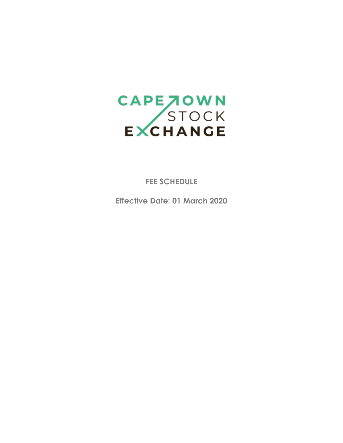

**FEE SCHEDULE**

**Effective Date: 01 March 2020**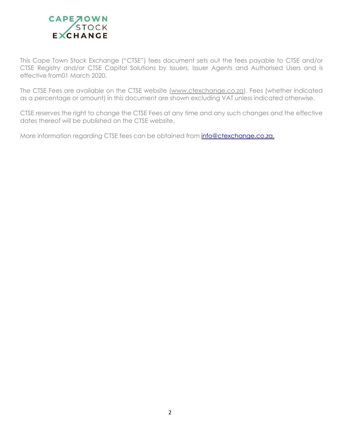

This Cape Town Stock Exchange ("CTSE") fees document sets out the fees payable to CTSE and/or CTSE Registry and/or CTSE Capital Solutions by Issuers, Issuer Agents and Authorised Users and is effective from01 March 2020.

The CTSE Fees are available on the CTSE website (www.ctexchange.co.za). Fees (whether indicated as a percentage or amount) in this document are shown excluding VAT unless indicated otherwise.

CTSE reserves the right to change the CTSE Fees at any time and any such changes and the effective dates thereof will be published on the CTSE website.

More information regarding CTSE fees can be obtained from **[info@ctexchange.co.za.](mailto:info@ctexchange.co.za.)**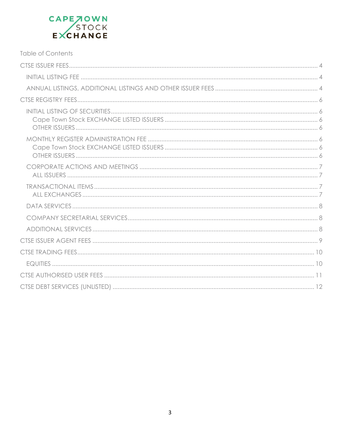# CAPE JOWN<br>STOCK<br>EXCHANGE

| <b>Table of Contents</b> |  |
|--------------------------|--|
|                          |  |
|                          |  |
|                          |  |
|                          |  |
|                          |  |
|                          |  |
|                          |  |
|                          |  |
|                          |  |
|                          |  |
|                          |  |
|                          |  |
|                          |  |
|                          |  |
|                          |  |
|                          |  |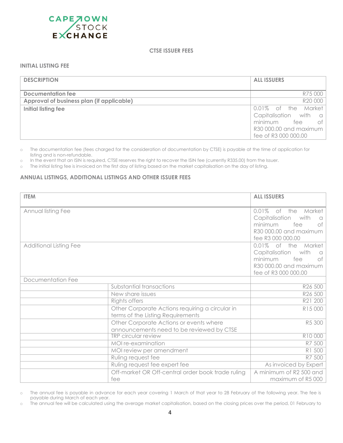<span id="page-3-0"></span>

#### **CTSE ISSUER FEES**

## <span id="page-3-1"></span>**INITIAL LISTING FEE**

| <b>DESCRIPTION</b>                        | <b>ALL ISSUERS</b>     |
|-------------------------------------------|------------------------|
| Documentation fee                         | R75 000                |
| Approval of business plan (if applicable) | R20 000                |
| Initial listing fee                       | 0.01% of the Market    |
|                                           | Capitalisation with a  |
|                                           | minimum fee<br>0t      |
|                                           | R30 000.00 and maximum |
|                                           | fee of R3 000 000.00   |

o The documentation fee (fees charged for the consideration of documentation by CTSE) is payable at the time of application for listing and is non-refundable.

o In the event that an ISIN is required, CTSE reserves the right to recover the ISIN fee (currently R335.00) from the Issuer.

<span id="page-3-2"></span>o The initial listing fee is invoiced on the first day of listing based on the market capitalisation on the day of listing.

#### **ANNUAL LISTINGS, ADDITIONAL LISTINGS AND OTHER ISSUER FEES**

| <b>ITEM</b>                   |                                                                                      | <b>ALL ISSUERS</b>                                                                                                        |
|-------------------------------|--------------------------------------------------------------------------------------|---------------------------------------------------------------------------------------------------------------------------|
| Annual listing Fee            |                                                                                      | 0.01% of the Market<br>Capitalisation<br>with<br>n<br>minimum<br>fee<br>Оf<br>R30 000.00 and maximum<br>fee R3 000 000.00 |
| <b>Additional Listing Fee</b> |                                                                                      | 0.01% of the Market<br>Capitalisation with<br>a<br>minimum<br>fee<br>оf<br>R30 000.00 and maximum<br>fee of R3 000 000.00 |
| Documentation Fee             |                                                                                      |                                                                                                                           |
|                               | Substantial transactions                                                             | R26 500                                                                                                                   |
|                               | New share issues                                                                     | R <sub>26</sub> 500                                                                                                       |
|                               | Rights offers                                                                        | R21 200                                                                                                                   |
|                               | Other Corporate Actions requiring a circular in<br>terms of the Listing Requirements | R15 000                                                                                                                   |
|                               | Other Corporate Actions or events where<br>announcements need to be reviewed by CTSE | R5 300                                                                                                                    |
|                               | <b>TRP</b> circular review                                                           | R10 000                                                                                                                   |
|                               | MOI re-examination                                                                   | R7 500                                                                                                                    |
|                               | MOI review per amendment                                                             | R1 500                                                                                                                    |
|                               | Ruling request fee                                                                   | R7 500                                                                                                                    |
|                               | Ruling request fee expert fee                                                        | As invoiced by Expert                                                                                                     |
|                               | Off-market OR Off-central order book trade ruling                                    | A minimum of R2 500 and                                                                                                   |
|                               | fee                                                                                  | maximum of R5000                                                                                                          |

o The annual fee is payable in advance for each year covering 1 March of that year to 28 February of the following year. The fee is payable during March of each year.

o The annual fee will be calculated using the average market capitalisation, based on the closing prices over the period, 01 February to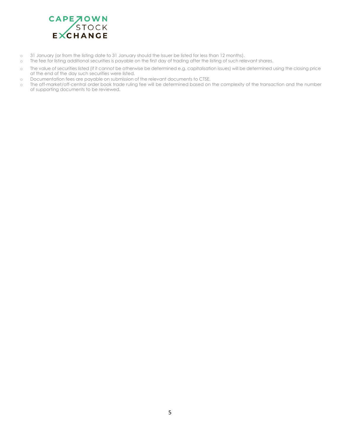

- o 31 January (or from the listing date to 31 January should the Issuer be listed for less than 12 months).
- o The fee for listing additional securities is payable on the first day of trading after the listing of such relevant shares.
- o The value of securities listed (if it cannot be otherwise be determined e.g. capitalisation issues) will be determined using the closing price at the end of the day such securities were listed.
- o Documentation fees are payable on submission of the relevant documents to CTSE.
- o The off-market/off-central order book trade ruling fee will be determined based on the complexity of the transaction and the number of supporting documents to be reviewed.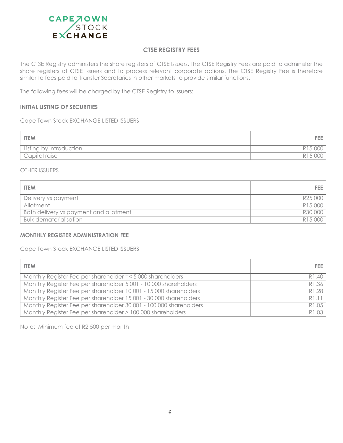

## **CTSE REGISTRY FEES**

<span id="page-5-0"></span>The CTSE Registry administers the share registers of CTSE Issuers. The CTSE Registry Fees are paid to administer the share registers of CTSE Issuers and to process relevant corporate actions. The CTSE Registry Fee is therefore similar to fees paid to Transfer Secretaries in other markets to provide similar functions.

The following fees will be charged by the CTSE Registry to Issuers:

#### <span id="page-5-1"></span>**INITIAL LISTING OF SECURITIES**

<span id="page-5-2"></span>Cape Town Stock EXCHANGE LISTED ISSUERS

| <b>ITEM</b>                |  |
|----------------------------|--|
| Listing by introduction    |  |
| <sup>I</sup> Capital raise |  |

#### <span id="page-5-3"></span>OTHER ISSUERS

| <b>ITEM</b>                                   | FEE 1   |
|-----------------------------------------------|---------|
| Delivery vs payment                           | R25 000 |
| Allotment                                     | R15 000 |
| <b>Both delivery vs payment and allotment</b> | R30 000 |
| <b>Bulk dematerialisation</b>                 | R15 000 |

#### <span id="page-5-4"></span>**MONTHLY REGISTER ADMINISTRATION FEE**

<span id="page-5-5"></span>Cape Town Stock EXCHANGE LISTED ISSUERS

| <b>ITEM</b>                                                        | FEE 1 |
|--------------------------------------------------------------------|-------|
| Monthly Register Fee per shareholder = < 5 000 shareholders        | R1.40 |
| Monthly Register Fee per shareholder 5 001 - 10 000 shareholders   | R1.36 |
| Monthly Register Fee per shareholder 10001 - 15000 shareholders    | R1.28 |
| Monthly Register Fee per shareholder 15 001 - 30 000 shareholders  | R1.11 |
| Monthly Register Fee per shareholder 30 001 - 100 000 shareholders | R1.05 |
| Monthly Register Fee per shareholder > 100 000 shareholders        | R1.03 |

<span id="page-5-6"></span>Note: Minimum fee of R2 500 per month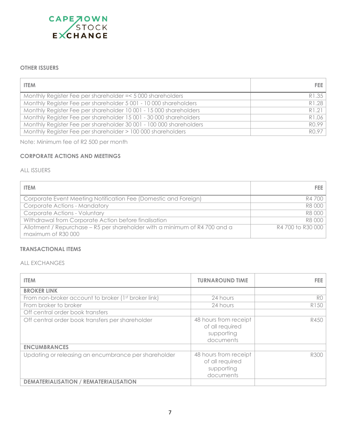

## **OTHER ISSUERS**

| <b>ITEM</b>                                                        | FEE I |
|--------------------------------------------------------------------|-------|
| Monthly Register Fee per shareholder = < 5000 shareholders         | R1.35 |
| Monthly Register Fee per shareholder 5 001 - 10 000 shareholders   | R1.28 |
| Monthly Register Fee per shareholder 10 001 - 15 000 shareholders  | R1.21 |
| Monthly Register Fee per shareholder 15 001 - 30 000 shareholders  | R1.06 |
| Monthly Register Fee per shareholder 30 001 - 100 000 shareholders | RO.99 |
| Monthly Register Fee per shareholder > 100 000 shareholders        | RO.97 |

Note: Minimum fee of R2 500 per month

## **CORPORATE ACTIONS AND MEETINGS**

## ALL ISSUERS

| <b>ITEM</b>                                                                                      | FEE 1             |
|--------------------------------------------------------------------------------------------------|-------------------|
| Corporate Event Meeting Notification Fee (Domestic and Foreign)                                  | R4 700            |
| <b>Corporate Actions - Mandatory</b>                                                             | R8 000            |
| <b>Corporate Actions - Voluntary</b>                                                             | R8 000            |
| Withdrawal from Corporate Action before finalisation                                             | R8 000            |
| Allotment / Repurchase – R5 per shareholder with a minimum of R4 700 and a<br>maximum of R30 000 | R4 700 to R30 000 |

#### <span id="page-6-0"></span>**TRANSACTIONAL ITEMS**

#### <span id="page-6-1"></span>ALL EXCHANGES

| <b>ITEM</b>                                          | <b>TURNAROUND TIME</b>                                              | FEE.           |
|------------------------------------------------------|---------------------------------------------------------------------|----------------|
| <b>BROKER LINK</b>                                   |                                                                     |                |
| From non-broker account to broker (1st broker link)  | 24 hours                                                            | R <sub>0</sub> |
| From broker to broker                                | 24 hours                                                            | R150           |
| Off central order book transfers                     |                                                                     |                |
| Off central order book transfers per shareholder     | 48 hours from receipt<br>of all required<br>supporting<br>documents | R450           |
| <b>ENCUMBRANCES</b>                                  |                                                                     |                |
| Updating or releasing an encumbrance per shareholder | 48 hours from receipt<br>of all required<br>supporting<br>documents | R300           |
| <b>DEMATERIALISATION / REMATERIALISATION</b>         |                                                                     |                |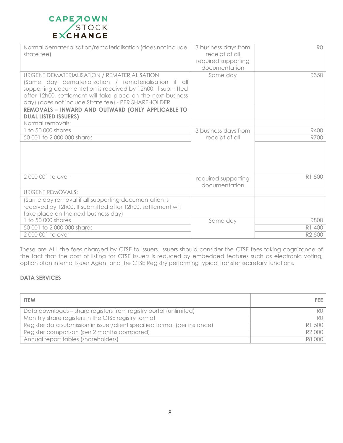

| Normal dematerialisation/rematerialisation (does not include<br>strate fee)                                                                                                                                                                                                                   | 3 business days from<br>receipt of all<br>required supporting<br>documentation | R <sub>0</sub> |
|-----------------------------------------------------------------------------------------------------------------------------------------------------------------------------------------------------------------------------------------------------------------------------------------------|--------------------------------------------------------------------------------|----------------|
| URGENT DEMATERIALISATION / REMATERIALISATION<br>(Same day dematerialization / rematerialisation if all<br>supporting documentation is received by 12h00. If submitted<br>after 12h00, settlement will take place on the next business<br>day) (does not include Strate fee) - PER SHAREHOLDER | Same day                                                                       | R350           |
| REMOVALS - INWARD AND OUTWARD (ONLY APPLICABLE TO<br><b>DUAL LISTED ISSUERS)</b>                                                                                                                                                                                                              |                                                                                |                |
| Normal removals:                                                                                                                                                                                                                                                                              |                                                                                |                |
| 1 to 50 000 shares                                                                                                                                                                                                                                                                            | 3 business days from                                                           | <b>R400</b>    |
| 50 001 to 2 000 000 shares                                                                                                                                                                                                                                                                    | receipt of all                                                                 | R700           |
|                                                                                                                                                                                                                                                                                               |                                                                                |                |
| 2000001 to over                                                                                                                                                                                                                                                                               | required supporting<br>documentation                                           | R1 500         |
| <b>URGENT REMOVALS:</b>                                                                                                                                                                                                                                                                       |                                                                                |                |
| (Same day removal if all supporting documentation is<br>received by 12h00. If submitted after 12h00, settlement will<br>take place on the next business day)                                                                                                                                  |                                                                                |                |
| 1 to 50 000 shares                                                                                                                                                                                                                                                                            | Same day                                                                       | <b>R800</b>    |
| 50 001 to 2 000 000 shares                                                                                                                                                                                                                                                                    |                                                                                | R1 400         |
| 2000001 to over                                                                                                                                                                                                                                                                               |                                                                                | R2 500         |

These are ALL the fees charged by CTSE to Issuers. Issuers should consider the CTSE fees taking cognizance of the fact that the cost of listing for CTSE Issuers is reduced by embedded features such as electronic voting, option ofan internal Issuer Agent and the CTSE Registry performing typical transfer secretary functions.

# <span id="page-7-0"></span>**DATA SERVICES**

<span id="page-7-1"></span>

| <b>ITEM</b>                                                               | FEE.           |
|---------------------------------------------------------------------------|----------------|
| Data downloads - share registers from registry portal (unlimited)         | RO.            |
| Monthly share registers in the CTSE registry format                       | R <sub>0</sub> |
| Register data submission in issuer/client specified format (per instance) | R1 500         |
| Register comparison (per 2 months compared)                               | R2 000         |
| Annual report tables (shareholders)                                       | R8 000         |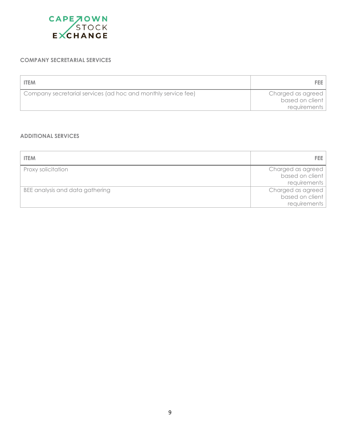

## **COMPANY SECRETARIAL SERVICES**

| <b>ITEM</b>                                                   | FEE.                                 |
|---------------------------------------------------------------|--------------------------------------|
| Company secretarial services (ad hoc and monthly service fee) | Charged as agreed<br>based on client |
|                                                               | requirements                         |

## <span id="page-8-0"></span>**ADDITIONAL SERVICES**

| <b>ITEM</b>                     | FEE.              |
|---------------------------------|-------------------|
| Proxy solicitation              | Charged as agreed |
|                                 | based on client   |
|                                 | requirements      |
| BEE analysis and data gathering | Charged as agreed |
|                                 | based on client   |
|                                 | requirements      |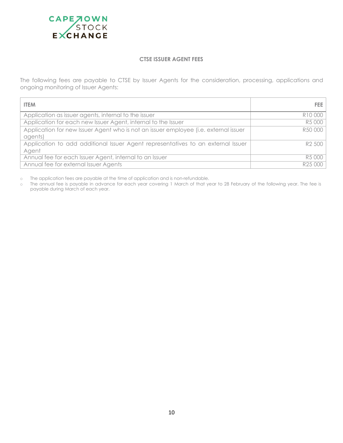<span id="page-9-0"></span>

#### **CTSE ISSUER AGENT FEES**

The following fees are payable to CTSE by Issuer Agents for the consideration, processing, applications and ongoing monitoring of Issuer Agents:

| <b>ITEM</b>                                                                                     | FEE                |
|-------------------------------------------------------------------------------------------------|--------------------|
| Application as issuer agents, internal to the issuer                                            | R10 000            |
| Application for each new Issuer Agent, internal to the Issuer                                   | R5 000             |
| Application for new Issuer Agent who is not an issuer employee (i.e. external issuer<br>agents) | R50 000            |
| Application to add additional Issuer Agent representatives to an external Issuer<br>Agent       | R <sub>2</sub> 500 |
| Annual fee for each Issuer Agent, internal to an Issuer                                         | R5 000             |
| Annual fee for external Issuer Agents                                                           | R25 000            |

o The application fees are payable at the time of application and is non-refundable.

o The annual fee is payable in advance for each year covering 1 March of that year to 28 February of the following year. The fee is payable during March of each year.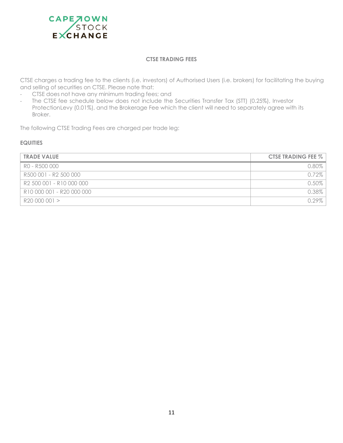<span id="page-10-0"></span>

#### **CTSE TRADING FEES**

CTSE charges a trading fee to the clients (i.e. investors) of Authorised Users (i.e. brokers) for facilitating the buying and selling of securities on CTSE. Please note that:

- CTSE does not have any minimum trading fees; and
- The CTSE fee schedule below does not include the Securities Transfer Tax (STT) (0.25%), Investor ProtectionLevy (0.01%), and the Brokerage Fee which the client will need to separately agree with its Broker.

The following CTSE Trading Fees are charged per trade leg:

## <span id="page-10-1"></span>**EQUITIES**

| <b>TRADE VALUE</b>        | <b>CTSE TRADING FEE %</b> |
|---------------------------|---------------------------|
| RO - R500 000             | $0.80\%$                  |
| R500 001 - R2 500 000     | $0.72\%$                  |
| R2 500 001 - R10 000 000  | $0.50\%$                  |
| R10 000 001 - R20 000 000 | 0.38%                     |
| R20 000 001 >             | $0.29\%$                  |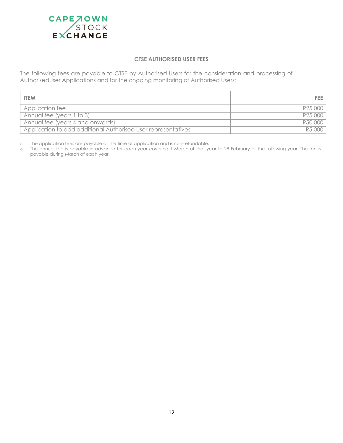<span id="page-11-0"></span>

#### **CTSE AUTHORISED USER FEES**

The following fees are payable to CTSE by Authorised Users for the consideration and processing of AuthorisedUser Applications and for the ongoing monitoring of Authorised Users:

| <b>ITEM</b>                                                   | FEE I   |
|---------------------------------------------------------------|---------|
| Application fee                                               | R25 000 |
| Annual fee (years 1 to 3)                                     | R25 000 |
| Annual fee (years 4 and onwards)                              | R50 000 |
| Application to add additional Authorised User representatives | R5 000  |

o The application fees are payable at the time of application and is non-refundable.

o The annual fee is payable in advance for each year covering 1 March of that year to 28 February of the following year. The fee is payable during March of each year.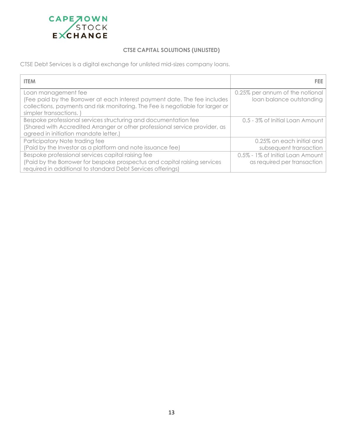<span id="page-12-0"></span>

## **CTSE CAPITAL SOLUTIONS (UNLISTED)**

CTSE Debt Services is a digital exchange for unlisted mid-sizes company loans.

| <b>ITEM</b>                                                                                                                                                                                                 | FEE.                                                        |
|-------------------------------------------------------------------------------------------------------------------------------------------------------------------------------------------------------------|-------------------------------------------------------------|
| Loan management fee<br>(Fee paid by the Borrower at each interest payment date. The fee includes<br>collections, payments and risk monitoring. The Fee is negotiable for larger or<br>simpler transactions. | 0.25% per annum of the notional<br>loan balance outstanding |
| Bespoke professional services structuring and documentation fee<br>(Shared with Accredited Arranger or other professional service provider, as<br>agreed in initiation mandate letter.)                     | 0.5 - 3% of Initial Loan Amount                             |
| Participatory Note trading fee                                                                                                                                                                              | 0.25% on each initial and                                   |
| (Paid by the Investor as a platform and note issuance fee)                                                                                                                                                  | subsequent transaction                                      |
| Bespoke professional services capital raising fee                                                                                                                                                           | 0.5% - 1% of Initial Loan Amount                            |
| (Paid by the Borrower for bespoke prospectus and capital raising services<br>required in additional to standard Debt Services offerings)                                                                    | as required per transaction                                 |